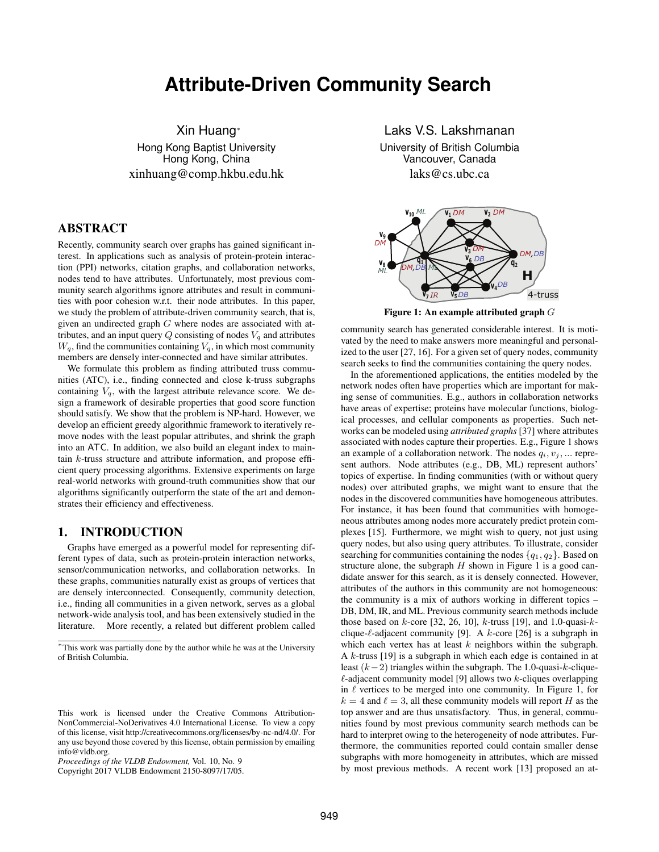# **Attribute-Driven Community Search**

Xin Huang<sup>∗</sup> Hong Kong Baptist University Hong Kong, China xinhuang@comp.hkbu.edu.hk

# ABSTRACT

Recently, community search over graphs has gained significant interest. In applications such as analysis of protein-protein interaction (PPI) networks, citation graphs, and collaboration networks, nodes tend to have attributes. Unfortunately, most previous community search algorithms ignore attributes and result in communities with poor cohesion w.r.t. their node attributes. In this paper, we study the problem of attribute-driven community search, that is, given an undirected graph  $G$  where nodes are associated with attributes, and an input query  $Q$  consisting of nodes  $V_q$  and attributes  $W_q$ , find the communities containing  $V_q$ , in which most community members are densely inter-connected and have similar attributes.

We formulate this problem as finding attributed truss communities (ATC), i.e., finding connected and close k-truss subgraphs containing  $V_q$ , with the largest attribute relevance score. We design a framework of desirable properties that good score function should satisfy. We show that the problem is NP-hard. However, we develop an efficient greedy algorithmic framework to iteratively remove nodes with the least popular attributes, and shrink the graph into an ATC. In addition, we also build an elegant index to maintain k-truss structure and attribute information, and propose efficient query processing algorithms. Extensive experiments on large real-world networks with ground-truth communities show that our algorithms significantly outperform the state of the art and demonstrates their efficiency and effectiveness.

# 1. INTRODUCTION

Graphs have emerged as a powerful model for representing different types of data, such as protein-protein interaction networks, sensor/communication networks, and collaboration networks. In these graphs, communities naturally exist as groups of vertices that are densely interconnected. Consequently, community detection, i.e., finding all communities in a given network, serves as a global network-wide analysis tool, and has been extensively studied in the literature. More recently, a related but different problem called

Copyright 2017 VLDB Endowment 2150-8097/17/05.

Laks V.S. Lakshmanan University of British Columbia Vancouver, Canada laks@cs.ubc.ca



Figure 1: An example attributed graph G

community search has generated considerable interest. It is motivated by the need to make answers more meaningful and personalized to the user [27, 16]. For a given set of query nodes, community search seeks to find the communities containing the query nodes.

In the aforementioned applications, the entities modeled by the network nodes often have properties which are important for making sense of communities. E.g., authors in collaboration networks have areas of expertise; proteins have molecular functions, biological processes, and cellular components as properties. Such networks can be modeled using *attributed graphs* [37] where attributes associated with nodes capture their properties. E.g., Figure 1 shows an example of a collaboration network. The nodes  $q_i, v_j, \dots$  represent authors. Node attributes (e.g., DB, ML) represent authors' topics of expertise. In finding communities (with or without query nodes) over attributed graphs, we might want to ensure that the nodes in the discovered communities have homogeneous attributes. For instance, it has been found that communities with homogeneous attributes among nodes more accurately predict protein complexes [15]. Furthermore, we might wish to query, not just using query nodes, but also using query attributes. To illustrate, consider searching for communities containing the nodes  ${q_1, q_2}$ . Based on structure alone, the subgraph  $H$  shown in Figure 1 is a good candidate answer for this search, as it is densely connected. However, attributes of the authors in this community are not homogeneous: the community is a mix of authors working in different topics – DB, DM, IR, and ML. Previous community search methods include those based on  $k$ -core [32, 26, 10],  $k$ -truss [19], and 1.0-quasi- $k$ clique- $\ell$ -adjacent community [9]. A k-core [26] is a subgraph in which each vertex has at least  $k$  neighbors within the subgraph. A k-truss [19] is a subgraph in which each edge is contained in at least  $(k-2)$  triangles within the subgraph. The 1.0-quasi-k-clique- $\ell$ -adjacent community model [9] allows two k-cliques overlapping in  $\ell$  vertices to be merged into one community. In Figure 1, for  $k = 4$  and  $\ell = 3$ , all these community models will report H as the top answer and are thus unsatisfactory. Thus, in general, communities found by most previous community search methods can be hard to interpret owing to the heterogeneity of node attributes. Furthermore, the communities reported could contain smaller dense subgraphs with more homogeneity in attributes, which are missed by most previous methods. A recent work [13] proposed an at-

<sup>∗</sup> This work was partially done by the author while he was at the University of British Columbia.

This work is licensed under the Creative Commons Attribution-NonCommercial-NoDerivatives 4.0 International License. To view a copy of this license, visit http://creativecommons.org/licenses/by-nc-nd/4.0/. For any use beyond those covered by this license, obtain permission by emailing info@vldb.org.

*Proceedings of the VLDB Endowment,* Vol. 10, No. 9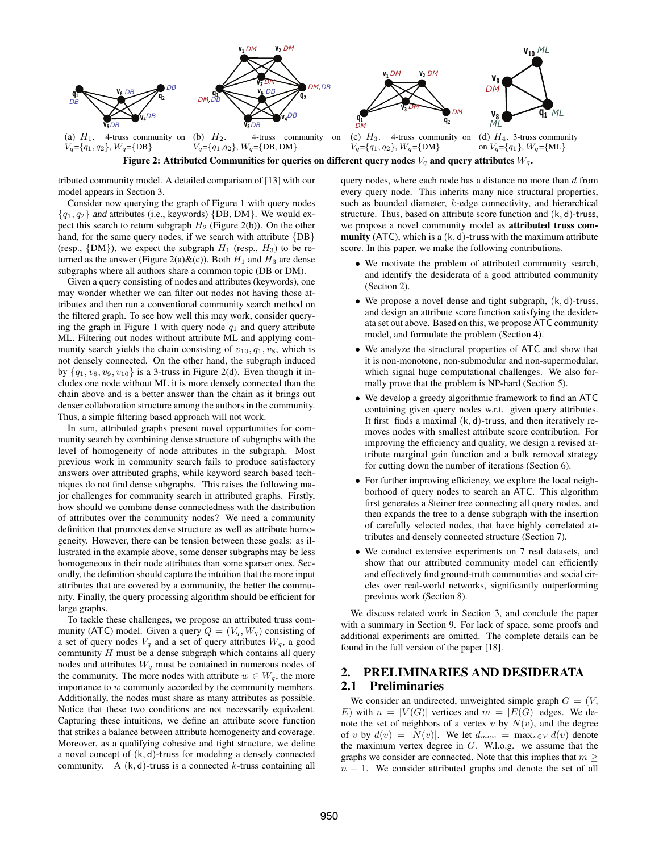

Figure 2: Attributed Communities for queries on different query nodes  $V_q$  and query attributes  $W_q$ .

tributed community model. A detailed comparison of [13] with our model appears in Section 3.

Consider now querying the graph of Figure 1 with query nodes  ${q_1, q_2}$  and attributes (i.e., keywords) {DB, DM}. We would expect this search to return subgraph  $H_2$  (Figure 2(b)). On the other hand, for the same query nodes, if we search with attribute  ${DB}$ (resp.,  $\{DM\}$ ), we expect the subgraph  $H_1$  (resp.,  $H_3$ ) to be returned as the answer (Figure 2(a)&(c)). Both  $H_1$  and  $H_3$  are dense subgraphs where all authors share a common topic (DB or DM).

Given a query consisting of nodes and attributes (keywords), one may wonder whether we can filter out nodes not having those attributes and then run a conventional community search method on the filtered graph. To see how well this may work, consider querying the graph in Figure 1 with query node  $q_1$  and query attribute ML. Filtering out nodes without attribute ML and applying community search yields the chain consisting of  $v_{10}$ ,  $q_1$ ,  $v_8$ , which is not densely connected. On the other hand, the subgraph induced by  ${q_1, v_8, v_9, v_{10}}$  is a 3-truss in Figure 2(d). Even though it includes one node without ML it is more densely connected than the chain above and is a better answer than the chain as it brings out denser collaboration structure among the authors in the community. Thus, a simple filtering based approach will not work.

In sum, attributed graphs present novel opportunities for community search by combining dense structure of subgraphs with the level of homogeneity of node attributes in the subgraph. Most previous work in community search fails to produce satisfactory answers over attributed graphs, while keyword search based techniques do not find dense subgraphs. This raises the following major challenges for community search in attributed graphs. Firstly, how should we combine dense connectedness with the distribution of attributes over the community nodes? We need a community definition that promotes dense structure as well as attribute homogeneity. However, there can be tension between these goals: as illustrated in the example above, some denser subgraphs may be less homogeneous in their node attributes than some sparser ones. Secondly, the definition should capture the intuition that the more input attributes that are covered by a community, the better the community. Finally, the query processing algorithm should be efficient for large graphs.

To tackle these challenges, we propose an attributed truss community (ATC) model. Given a query  $Q = (V_q, W_q)$  consisting of a set of query nodes  $V_q$  and a set of query attributes  $W_q$ , a good community  $H$  must be a dense subgraph which contains all query nodes and attributes  $W_q$  must be contained in numerous nodes of the community. The more nodes with attribute  $w \in W_q$ , the more importance to w commonly accorded by the community members. Additionally, the nodes must share as many attributes as possible. Notice that these two conditions are not necessarily equivalent. Capturing these intuitions, we define an attribute score function that strikes a balance between attribute homogeneity and coverage. Moreover, as a qualifying cohesive and tight structure, we define a novel concept of (k, d)-truss for modeling a densely connected community. A  $(k, d)$ -truss is a connected k-truss containing all

query nodes, where each node has a distance no more than  $d$  from every query node. This inherits many nice structural properties, such as bounded diameter, k-edge connectivity, and hierarchical structure. Thus, based on attribute score function and  $(k, d)$ -truss, we propose a novel community model as attributed truss com**munity** (ATC), which is a  $(k, d)$ -truss with the maximum attribute score. In this paper, we make the following contributions.

- We motivate the problem of attributed community search, and identify the desiderata of a good attributed community (Section 2).
- We propose a novel dense and tight subgraph,  $(k, d)$ -truss, and design an attribute score function satisfying the desiderata set out above. Based on this, we propose ATC community model, and formulate the problem (Section 4).
- We analyze the structural properties of ATC and show that it is non-monotone, non-submodular and non-supermodular, which signal huge computational challenges. We also formally prove that the problem is NP-hard (Section 5).
- We develop a greedy algorithmic framework to find an ATC containing given query nodes w.r.t. given query attributes. It first finds a maximal  $(k, d)$ -truss, and then iteratively removes nodes with smallest attribute score contribution. For improving the efficiency and quality, we design a revised attribute marginal gain function and a bulk removal strategy for cutting down the number of iterations (Section 6).
- For further improving efficiency, we explore the local neighborhood of query nodes to search an ATC. This algorithm first generates a Steiner tree connecting all query nodes, and then expands the tree to a dense subgraph with the insertion of carefully selected nodes, that have highly correlated attributes and densely connected structure (Section 7).
- We conduct extensive experiments on 7 real datasets, and show that our attributed community model can efficiently and effectively find ground-truth communities and social circles over real-world networks, significantly outperforming previous work (Section 8).

We discuss related work in Section 3, and conclude the paper with a summary in Section 9. For lack of space, some proofs and additional experiments are omitted. The complete details can be found in the full version of the paper [18].

# 2. PRELIMINARIES AND DESIDERATA<br>2.1 Preliminaries **Preliminaries**

We consider an undirected, unweighted simple graph  $G = (V, \mathcal{E})$ E) with  $n = |V(G)|$  vertices and  $m = |E(G)|$  edges. We denote the set of neighbors of a vertex v by  $N(v)$ , and the degree of v by  $d(v) = |N(v)|$ . We let  $d_{max} = \max_{v \in V} d(v)$  denote the maximum vertex degree in G. W.l.o.g. we assume that the graphs we consider are connected. Note that this implies that  $m \geq$  $n - 1$ . We consider attributed graphs and denote the set of all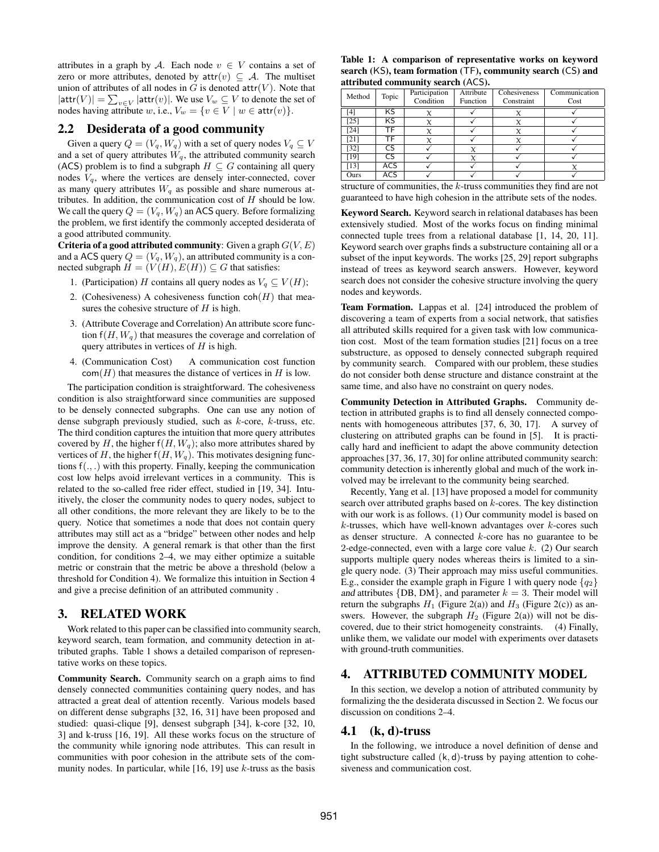attributes in a graph by A. Each node  $v \in V$  contains a set of zero or more attributes, denoted by  $\text{attr}(v) \subseteq A$ . The multiset union of attributes of all nodes in  $G$  is denoted  $attr(V)$ . Note that  $|\mathsf{attr}(V)| = \sum_{v \in V} |\mathsf{attr}(v)|$ . We use  $V_w \subseteq V$  to denote the set of nodes having attribute w, i.e.,  $V_w = \{v \in V \mid w \in \text{attr}(v)\}.$ 

## 2.2 Desiderata of a good community

Given a query  $Q = (V_q, W_q)$  with a set of query nodes  $V_q \subseteq V$ and a set of query attributes  $W_q$ , the attributed community search (ACS) problem is to find a subgraph  $H \subseteq G$  containing all query nodes  $V_q$ , where the vertices are densely inter-connected, cover as many query attributes  $W_q$  as possible and share numerous attributes. In addition, the communication cost of  $H$  should be low. We call the query  $Q = (V_q, W_q)$  an ACS query. Before formalizing the problem, we first identify the commonly accepted desiderata of a good attributed community.

**Criteria of a good attributed community**: Given a graph  $G(V, E)$ and a ACS query  $Q = (V_q, W_q)$ , an attributed community is a connected subgraph  $H = (V(H), E(H)) \subseteq G$  that satisfies:

- 1. (Participation) H contains all query nodes as  $V_q \subseteq V(H)$ ;
- 2. (Cohesiveness) A cohesiveness function  $\text{coh}(H)$  that measures the cohesive structure of  $H$  is high.
- 3. (Attribute Coverage and Correlation) An attribute score function  $f(H, W_q)$  that measures the coverage and correlation of query attributes in vertices of  $H$  is high.
- 4. (Communication Cost) A communication cost function  $com(H)$  that measures the distance of vertices in H is low.

The participation condition is straightforward. The cohesiveness condition is also straightforward since communities are supposed to be densely connected subgraphs. One can use any notion of dense subgraph previously studied, such as k-core, k-truss, etc. The third condition captures the intuition that more query attributes covered by H, the higher  $f(H, W_q)$ ; also more attributes shared by vertices of H, the higher  $f(H, W_q)$ . This motivates designing functions  $f(.,.)$  with this property. Finally, keeping the communication cost low helps avoid irrelevant vertices in a community. This is related to the so-called free rider effect, studied in [19, 34]. Intuitively, the closer the community nodes to query nodes, subject to all other conditions, the more relevant they are likely to be to the query. Notice that sometimes a node that does not contain query attributes may still act as a "bridge" between other nodes and help improve the density. A general remark is that other than the first condition, for conditions 2–4, we may either optimize a suitable metric or constrain that the metric be above a threshold (below a threshold for Condition 4). We formalize this intuition in Section 4 and give a precise definition of an attributed community .

## 3. RELATED WORK

Work related to this paper can be classified into community search, keyword search, team formation, and community detection in attributed graphs. Table 1 shows a detailed comparison of representative works on these topics.

Community Search. Community search on a graph aims to find densely connected communities containing query nodes, and has attracted a great deal of attention recently. Various models based on different dense subgraphs [32, 16, 31] have been proposed and studied: quasi-clique [9], densest subgraph [34], k-core [32, 10, 3] and k-truss [16, 19]. All these works focus on the structure of the community while ignoring node attributes. This can result in communities with poor cohesion in the attribute sets of the community nodes. In particular, while  $[16, 19]$  use k-truss as the basis

Table 1: A comparison of representative works on keyword search (KS), team formation (TF), community search (CS) and attributed community search (ACS).

| Method | Topic                    | Participation | Attribute | Cohesiveness | Communication |
|--------|--------------------------|---------------|-----------|--------------|---------------|
|        |                          | Condition     | Function  | Constraint   | Cost          |
| [4]    | KS                       |               |           |              |               |
| $[25]$ | $\overline{\text{KS}}$   |               |           |              |               |
| $[24]$ | ТF                       |               |           |              |               |
| $[21]$ | TF                       |               |           |              |               |
| $[32]$ | CS                       |               |           |              |               |
| [19]   | $\overline{\mathsf{CS}}$ |               |           |              |               |
| [13]   | <b>ACS</b>               |               |           |              |               |
| Ours   | <b>ACS</b>               |               |           |              |               |

structure of communities, the k-truss communities they find are not guaranteed to have high cohesion in the attribute sets of the nodes.

Keyword Search. Keyword search in relational databases has been extensively studied. Most of the works focus on finding minimal connected tuple trees from a relational database [1, 14, 20, 11]. Keyword search over graphs finds a substructure containing all or a subset of the input keywords. The works [25, 29] report subgraphs instead of trees as keyword search answers. However, keyword search does not consider the cohesive structure involving the query nodes and keywords.

Team Formation. Lappas et al. [24] introduced the problem of discovering a team of experts from a social network, that satisfies all attributed skills required for a given task with low communication cost. Most of the team formation studies [21] focus on a tree substructure, as opposed to densely connected subgraph required by community search. Compared with our problem, these studies do not consider both dense structure and distance constraint at the same time, and also have no constraint on query nodes.

Community Detection in Attributed Graphs. Community detection in attributed graphs is to find all densely connected components with homogeneous attributes [37, 6, 30, 17]. A survey of clustering on attributed graphs can be found in [5]. It is practically hard and inefficient to adapt the above community detection approaches [37, 36, 17, 30] for online attributed community search: community detection is inherently global and much of the work involved may be irrelevant to the community being searched.

Recently, Yang et al. [13] have proposed a model for community search over attributed graphs based on k-cores. The key distinction with our work is as follows. (1) Our community model is based on  $k$ -trusses, which have well-known advantages over  $k$ -cores such as denser structure. A connected  $k$ -core has no guarantee to be 2-edge-connected, even with a large core value  $k$ . (2) Our search supports multiple query nodes whereas theirs is limited to a single query node. (3) Their approach may miss useful communities. E.g., consider the example graph in Figure 1 with query node  $\{q_2\}$ and attributes  $\{DB, DM\}$ , and parameter  $k = 3$ . Their model will return the subgraphs  $H_1$  (Figure 2(a)) and  $H_3$  (Figure 2(c)) as answers. However, the subgraph  $H_2$  (Figure 2(a)) will not be discovered, due to their strict homogeneity constraints. (4) Finally, unlike them, we validate our model with experiments over datasets with ground-truth communities.

# 4. ATTRIBUTED COMMUNITY MODEL

In this section, we develop a notion of attributed community by formalizing the the desiderata discussed in Section 2. We focus our discussion on conditions 2–4.

#### 4.1 (k, d)-truss

In the following, we introduce a novel definition of dense and tight substructure called  $(k, d)$ -truss by paying attention to cohesiveness and communication cost.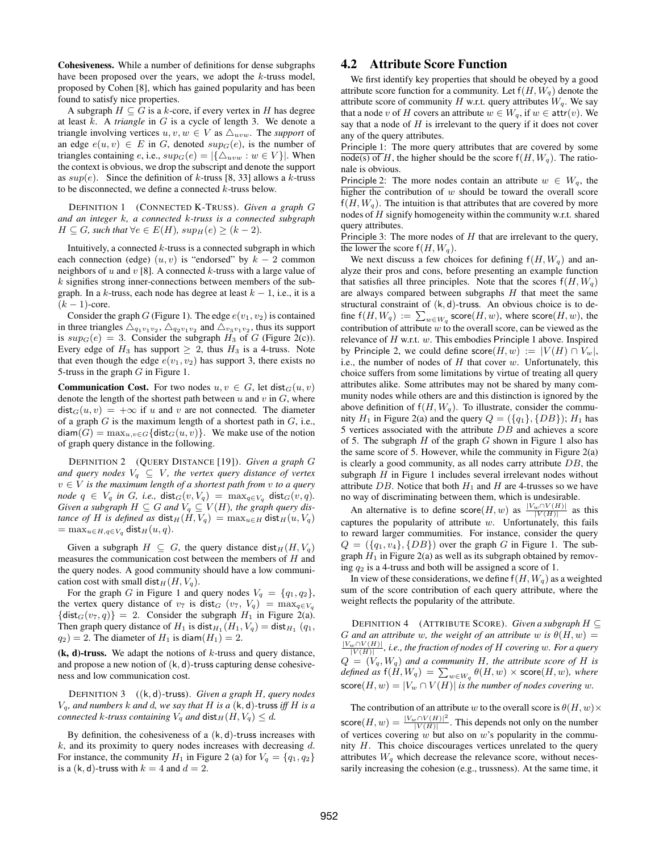Cohesiveness. While a number of definitions for dense subgraphs have been proposed over the years, we adopt the k-truss model, proposed by Cohen [8], which has gained popularity and has been found to satisfy nice properties.

A subgraph  $H \subseteq G$  is a k-core, if every vertex in H has degree at least k. A *triangle* in G is a cycle of length 3. We denote a triangle involving vertices  $u, v, w \in V$  as  $\triangle_{uvw}$ . The *support* of an edge  $e(u, v) \in E$  in G, denoted  $sup_G(e)$ , is the number of triangles containing e, i.e.,  $sup_G(e) = |\{\Delta_{uvw} : w \in V\}|$ . When the context is obvious, we drop the subscript and denote the support as  $sup(e)$ . Since the definition of k-truss [8, 33] allows a k-truss to be disconnected, we define a connected k-truss below.

DEFINITION 1 (CONNECTED K-TRUSS). *Given a graph* G *and an integer* k*, a connected* k*-truss is a connected subgraph*  $H \subseteq G$ *, such that*  $\forall e \in E(H)$ *, sup<sub>H</sub>* $(e) \geq (k-2)$ *.* 

Intuitively, a connected  $k$ -truss is a connected subgraph in which each connection (edge)  $(u, v)$  is "endorsed" by  $k - 2$  common neighbors of  $u$  and  $v$  [8]. A connected  $k$ -truss with a large value of  $k$  signifies strong inner-connections between members of the subgraph. In a k-truss, each node has degree at least  $k - 1$ , i.e., it is a  $(k-1)$ -core.

Consider the graph G (Figure 1). The edge  $e(v_1, v_2)$  is contained in three triangles  $\triangle_{q_1v_1v_2}$ ,  $\triangle_{q_2v_1v_2}$  and  $\triangle_{v_3v_1v_2}$ , thus its support is  $sup_G(e) = 3$ . Consider the subgraph  $H_3$  of G (Figure 2(c)). Every edge of  $H_3$  has support  $\geq 2$ , thus  $H_3$  is a 4-truss. Note that even though the edge  $e(v_1, v_2)$  has support 3, there exists no 5-truss in the graph  $G$  in Figure 1.

**Communication Cost.** For two nodes  $u, v \in G$ , let  $dist_G(u, v)$ denote the length of the shortest path between  $u$  and  $v$  in  $G$ , where  $dist_G(u, v) = +\infty$  if u and v are not connected. The diameter of a graph  $G$  is the maximum length of a shortest path in  $G$ , i.e.,  $\text{diam}(G) = \max_{u,v \in G} {\text{dist}_G(u,v)}$ . We make use of the notion of graph query distance in the following.

DEFINITION 2 (QUERY DISTANCE [19]). *Given a graph* G *and query nodes*  $V_q \subseteq V$ *, the vertex query distance of vertex* v ∈ V *is the maximum length of a shortest path from* v *to a query node*  $q \in V_q$  *in* G, *i.e.*, dist $_G(v, V_q) = \max_{q \in V_q} \text{dist}_G(v, q)$ . *Given a subgraph*  $H \subseteq G$  *and*  $V_q \subseteq V(H)$ *, the graph query distance of* H *is defined as*  $\textsf{dist}_H(H, V_q) = \max_{u \in H} \textsf{dist}_H(u, V_q)$  $=\max_{u\in H, q\in V_q} \text{dist}_H(u, q).$ 

Given a subgraph  $H \subseteq G$ , the query distance  $dist_H(H, V_q)$ measures the communication cost between the members of  $H$  and the query nodes. A good community should have a low communication cost with small dist  $_H(H, V_q)$ .

For the graph G in Figure 1 and query nodes  $V_q = \{q_1, q_2\}$ , the vertex query distance of  $v_7$  is dist<sub>G</sub> ( $v_7$ ,  $V_q$ ) = max<sub>q∈Vq</sub>  ${\text{dist}_G(v_7, q)} = 2$ . Consider the subgraph  $H_1$  in Figure 2(a). Then graph query distance of  $H_1$  is  $\textsf{dist}_{H_1}(H_1, V_q) = \textsf{dist}_{H_1}(q_1, q_2)$  $q_2$ ) = 2. The diameter of  $H_1$  is diam $(H_1) = 2$ .

 $(k, d)$ -truss. We adapt the notions of  $k$ -truss and query distance, and propose a new notion of  $(k, d)$ -truss capturing dense cohesiveness and low communication cost.

DEFINITION 3 ((k, d)-truss). *Given a graph* H*, query nodes*  $V_q$ *, and numbers* k and d, we say that H is a  $(k, d)$ -truss iff H is a *connected* k-truss containing  $V_q$  and  $\text{dist}_H(H, V_q) \leq d$ .

By definition, the cohesiveness of a  $(k, d)$ -truss increases with  $k$ , and its proximity to query nodes increases with decreasing  $d$ . For instance, the community  $H_1$  in Figure 2 (a) for  $V_q = \{q_1, q_2\}$ is a  $(k, d)$ -truss with  $k = 4$  and  $d = 2$ .

## 4.2 Attribute Score Function

We first identify key properties that should be obeyed by a good attribute score function for a community. Let  $f(H, W_q)$  denote the attribute score of community H w.r.t. query attributes  $W_q$ . We say that a node v of H covers an attribute  $w \in W_q$ , if  $w \in \text{attr}(v)$ . We say that a node of  $H$  is irrelevant to the query if it does not cover any of the query attributes.

Principle 1: The more query attributes that are covered by some  $\overline{\text{node}(s)}$  of H, the higher should be the score  $f(H, W_q)$ . The rationale is obvious.

Principle 2: The more nodes contain an attribute  $w \in W_q$ , the higher the contribution of  $w$  should be toward the overall score  $f(H, W<sub>q</sub>)$ . The intuition is that attributes that are covered by more nodes of H signify homogeneity within the community w.r.t. shared query attributes.

Principle 3: The more nodes of  $H$  that are irrelevant to the query, the lower the score  $f(H, W_q)$ .

We next discuss a few choices for defining  $f(H, W_q)$  and analyze their pros and cons, before presenting an example function that satisfies all three principles. Note that the scores  $f(H, W_q)$ are always compared between subgraphs  $H$  that meet the same structural constraint of  $(k, d)$ -truss. An obvious choice is to define  $f(H, W_q) := \sum_{w \in W_q} \textsf{score}(H, w)$ , where  $\textsf{score}(H, w)$ , the contribution of attribute  $w$  to the overall score, can be viewed as the relevance of  $H$  w.r.t.  $w$ . This embodies Principle 1 above. Inspired by Principle 2, we could define  $score(H, w) := |V(H) \cap V_w|$ , i.e., the number of nodes of  $H$  that cover  $w$ . Unfortunately, this choice suffers from some limitations by virtue of treating all query attributes alike. Some attributes may not be shared by many community nodes while others are and this distinction is ignored by the above definition of  $f(H, W_q)$ . To illustrate, consider the community  $H_1$  in Figure 2(a) and the query  $Q = (\{q_1\}, \{DB\})$ ;  $H_1$  has 5 vertices associated with the attribute DB and achieves a score of 5. The subgraph  $H$  of the graph  $G$  shown in Figure 1 also has the same score of 5. However, while the community in Figure  $2(a)$ is clearly a good community, as all nodes carry attribute DB, the subgraph  $H$  in Figure 1 includes several irrelevant nodes without attribute  $DB$ . Notice that both  $H_1$  and  $H$  are 4-trusses so we have no way of discriminating between them, which is undesirable.

An alternative is to define score $(H, w)$  as  $\frac{|V_w \cap V(H)|}{|V(H)|}$  as this captures the popularity of attribute  $w$ . Unfortunately, this fails to reward larger commumities. For instance, consider the query  $Q = (\lbrace q_1, v_4 \rbrace, \lbrace DB \rbrace)$  over the graph G in Figure 1. The subgraph  $H_1$  in Figure 2(a) as well as its subgraph obtained by removing  $q_2$  is a 4-truss and both will be assigned a score of 1.

In view of these considerations, we define  $f(H, W_q)$  as a weighted sum of the score contribution of each query attribute, where the weight reflects the popularity of the attribute.

DEFINITION 4 (ATTRIBUTE SCORE). *Given a subgraph* H ⊆ G and an attribute w, the weight of an attribute w is  $\theta(H, w) =$  $\frac{|V_w \cap V(H)|}{|V(H)|}$ , i.e., the fraction of nodes of H covering w. For a query  $Q = (V_q, W_q)$  and a community H, the attribute score of H is  $\emph{defined as $\mathsf{f}(H,W_q)=\sum_{w\in W_q}\theta(H,w)\times\mathsf{score}(H,w)$, where}$ score(H,  $w$ ) =  $|V_w \cap V(H)|$  *is the number of nodes covering w.* 

The contribution of an attribute w to the overall score is  $\theta(H, w) \times$  $\mathsf{score}(H, w) = \frac{|V_w \cap V(H)|^2}{|V(H)|}$  $\frac{v \cap V(H)|}{|V(H)|}$ . This depends not only on the number of vertices covering  $w$  but also on  $w$ 's popularity in the community  $H$ . This choice discourages vertices unrelated to the query attributes  $W_q$  which decrease the relevance score, without necessarily increasing the cohesion (e.g., trussness). At the same time, it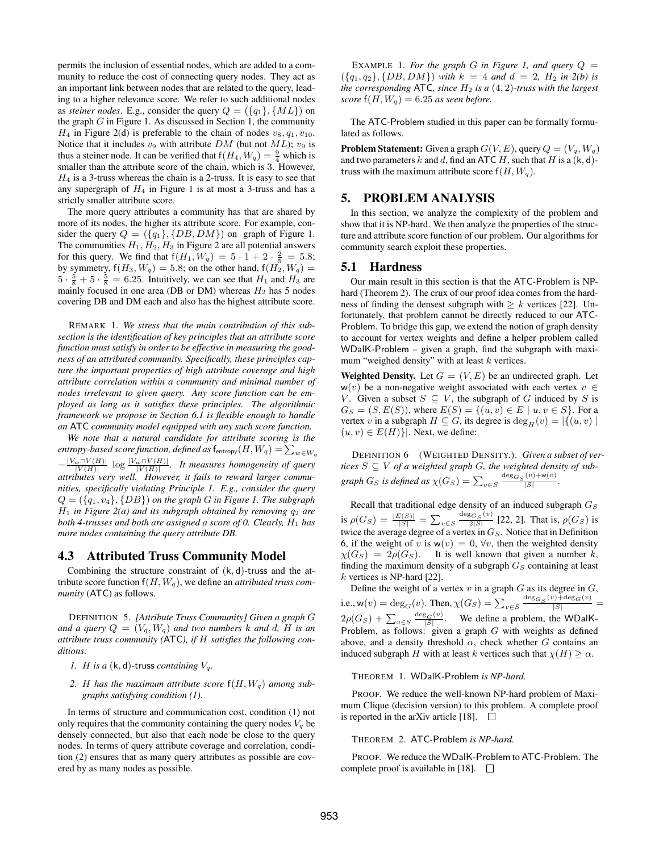permits the inclusion of essential nodes, which are added to a community to reduce the cost of connecting query nodes. They act as an important link between nodes that are related to the query, leading to a higher relevance score. We refer to such additional nodes as *steiner nodes*. E.g., consider the query  $Q = (\{q_1\}, \{ML\})$  on the graph  $G$  in Figure 1. As discussed in Section 1, the community  $H_4$  in Figure 2(d) is preferable to the chain of nodes  $v_8, q_1, v_{10}$ . Notice that it includes  $v_9$  with attribute DM (but not ML);  $v_9$  is thus a steiner node. It can be verified that  $f(H_4, W_q) = \frac{9}{4}$  which is smaller than the attribute score of the chain, which is 3. However,  $H_4$  is a 3-truss whereas the chain is a 2-truss. It is easy to see that any supergraph of  $H_4$  in Figure 1 is at most a 3-truss and has a strictly smaller attribute score.

The more query attributes a community has that are shared by more of its nodes, the higher its attribute score. For example, consider the query  $Q = (\{q_1\}, \{DB, DM\})$  on graph of Figure 1. The communities  $H_1, H_2, H_3$  in Figure 2 are all potential answers for this query. We find that  $f(H_1, W_q) = 5 \cdot 1 + 2 \cdot \frac{2}{5} = 5.8$ ; by symmetry,  $f(H_3, W_q) = 5.8$ ; on the other hand,  $f(H_2, W_q) =$  $5 \cdot \frac{5}{8} + 5 \cdot \frac{5}{8} = 6.25$ . Intuitively, we can see that  $H_1$  and  $H_3$  are mainly focused in one area (DB or DM) whereas  $H_2$  has 5 nodes covering DB and DM each and also has the highest attribute score.

REMARK 1. *We stress that the main contribution of this subsection is the identification of key principles that an attribute score function must satisfy in order to be effective in measuring the goodness of an attributed community. Specifically, these principles capture the important properties of high attribute coverage and high attribute correlation within a community and minimal number of nodes irrelevant to given query. Any score function can be employed as long as it satisfies these principles. The algorithmic framework we propose in Section 6.1 is flexible enough to handle an* ATC *community model equipped with any such score function.*

*We note that a natural candidate for attribute scoring is the* entropy-based score function, defined as  $\mathsf{f_{entropy}}(H,W_q)=\sum_{w\in W_q}$  $-\frac{|V_w \cap V(H)|}{|V(H)|}$  log  $\frac{|V_w \cap V(H)|}{|V(H)|}$ . It measures homogeneity of query *attributes very well. However, it fails to reward larger communities, specifically violating Principle 1. E.g., consider the query*  $Q = (\{q_1, v_4\}, \{DB\})$  *on the graph* G *in Figure 1. The subgraph*  $H_1$  *in Figure 2(a) and its subgraph obtained by removing*  $q_2$  *are both 4-trusses and both are assigned a score of 0. Clearly,* H<sup>1</sup> *has more nodes containing the query attribute DB.*

# 4.3 Attributed Truss Community Model

Combining the structure constraint of  $(k, d)$ -truss and the attribute score function  $f(H, W_q)$ , we define an *attributed truss community* (ATC) as follows.

DEFINITION 5. *[Attribute Truss Community] Given a graph* G *and a query*  $Q = (V_q, W_q)$  *and two numbers* k *and* d, H *is an attribute truss community (*ATC*), if* H *satisfies the following conditions:*

- *1. H is a*  $(k, d)$ -truss *containing*  $V_q$ .
- 2. H has the maximum attribute score  $f(H, W_q)$  among sub*graphs satisfying condition (1).*

In terms of structure and communication cost, condition (1) not only requires that the community containing the query nodes  $V<sub>a</sub>$  be densely connected, but also that each node be close to the query nodes. In terms of query attribute coverage and correlation, condition (2) ensures that as many query attributes as possible are covered by as many nodes as possible.

EXAMPLE 1. For the graph G in Figure 1, and query  $Q =$  $({q_1, q_2}, {DB, DM})$  *with*  $k = 4$  *and*  $d = 2$ ,  $H_2$  *in* 2(*b*) *is the corresponding* ATC*, since* H<sup>2</sup> *is a* (4, 2)*-truss with the largest score*  $f(H, W_q) = 6.25$  *as seen before.* 

The ATC-Problem studied in this paper can be formally formulated as follows.

**Problem Statement:** Given a graph  $G(V, E)$ , query  $Q = (V_q, W_q)$ and two parameters k and d, find an ATC H, such that H is a  $(k, d)$ truss with the maximum attribute score  $f(H, W_q)$ .

## 5. PROBLEM ANALYSIS

In this section, we analyze the complexity of the problem and show that it is NP-hard. We then analyze the properties of the structure and attribute score function of our problem. Our algorithms for community search exploit these properties.

#### 5.1 Hardness

Our main result in this section is that the ATC-Problem is NPhard (Theorem 2). The crux of our proof idea comes from the hardness of finding the densest subgraph with  $\geq k$  vertices [22]. Unfortunately, that problem cannot be directly reduced to our ATC-Problem. To bridge this gap, we extend the notion of graph density to account for vertex weights and define a helper problem called WDalK-Problem – given a graph, find the subgraph with maximum "weighed density" with at least  $k$  vertices.

Weighted Density. Let  $G = (V, E)$  be an undirected graph. Let  $w(v)$  be a non-negative weight associated with each vertex  $v \in$ V. Given a subset  $S \subseteq V$ , the subgraph of G induced by S is  $G_S = (S, E(S))$ , where  $E(S) = \{(u, v) \in E \mid u, v \in S\}$ . For a vertex v in a subgraph  $H \subseteq G$ , its degree is  $\deg_H(v) = |\{(u, v) \mid$  $(u, v) \in E(H)$ . Next, we define:

DEFINITION 6 (WEIGHTED DENSITY.). *Given a subset of vertices*  $S \subseteq V$  *of a weighted graph*  $G$ *, the weighted density of subgraph*  $G_S$  *is defined as*  $\chi(G_S) = \sum_{v \in S} \frac{\deg_{G_S}(v) + w(v)}{|S|}$  $|S|$ *.*

Recall that traditional edge density of an induced subgraph  $G_S$ is  $\rho(G_S) = \frac{|E(S)|}{|S|} = \sum_{v \in S} \frac{\deg_{G_S}(v)}{2|S|}$  $\frac{^{8}G_S(c)}{^{2}|S|}$  [22, 2]. That is,  $\rho(G_S)$  is twice the average degree of a vertex in  $G<sub>S</sub>$ . Notice that in Definition 6, if the weight of v is  $w(v) = 0$ ,  $\forall v$ , then the weighted density  $\chi(G_S) = 2\rho(G_S)$ . It is well known that given a number k, finding the maximum density of a subgraph  $G_S$  containing at least k vertices is NP-hard [22].

Define the weight of a vertex  $v$  in a graph  $G$  as its degree in  $G$ , i.e.,  $w(v) = deg_G(v)$ . Then,  $\chi(G_S) = \sum_{v \in S} \frac{deg_{G_S}(v) + deg_G(v)}{|S|} =$  $2\rho(G_S) + \sum_{v \in S} \frac{\deg_G(v)}{|S|}$ . We define a problem, the WDalK-Problem, as follows: given a graph  $G$  with weights as defined above, and a density threshold  $\alpha$ , check whether G contains an induced subgraph H with at least k vertices such that  $\chi(H) > \alpha$ .

THEOREM 1. WDalK*-*Problem *is NP-hard.*

PROOF. We reduce the well-known NP-hard problem of Maximum Clique (decision version) to this problem. A complete proof is reported in the arXiv article [18].  $\Box$ 

#### THEOREM 2. ATC*-*Problem *is NP-hard.*

PROOF. We reduce the WDalK-Problem to ATC-Problem. The complete proof is available in [18].  $\Box$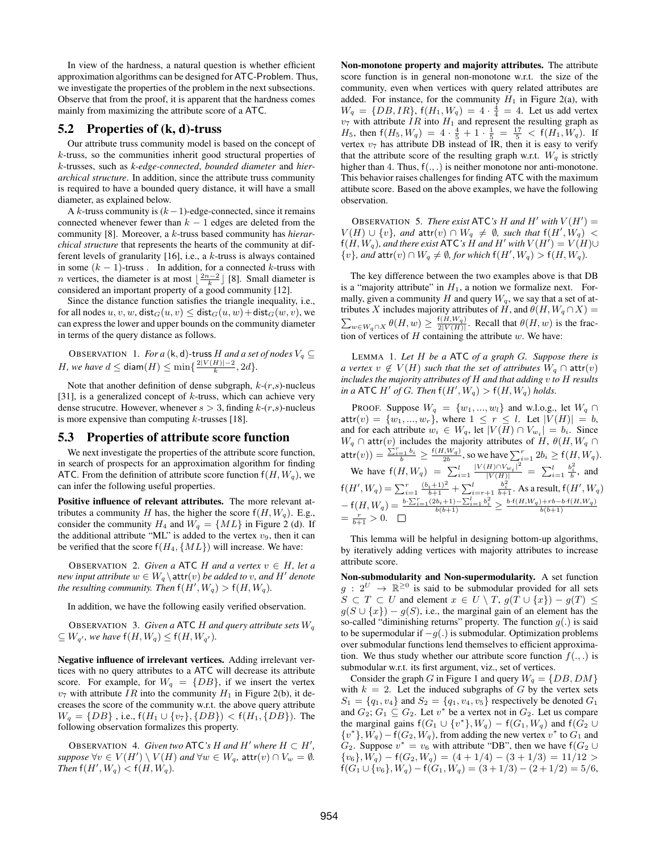In view of the hardness, a natural question is whether efficient approximation algorithms can be designed for ATC-Problem. Thus, we investigate the properties of the problem in the next subsections. Observe that from the proof, it is apparent that the hardness comes mainly from maximizing the attribute score of a ATC.

## 5.2 Properties of (k, d)-truss

Our attribute truss community model is based on the concept of k-truss, so the communities inherit good structural properties of k-trusses, such as *k-edge-connected*, *bounded diameter* and *hierarchical structure*. In addition, since the attribute truss community is required to have a bounded query distance, it will have a small diameter, as explained below.

A k-truss community is  $(k-1)$ -edge-connected, since it remains connected whenever fewer than  $k - 1$  edges are deleted from the community [8]. Moreover, a k-truss based community has *hierarchical structure* that represents the hearts of the community at different levels of granularity  $[16]$ , i.e., a k-truss is always contained in some  $(k - 1)$ -truss. In addition, for a connected k-truss with *n* vertices, the diameter is at most  $\lfloor \frac{2n-2}{k} \rfloor$  [8]. Small diameter is considered an important property of a good community [12].

Since the distance function satisfies the triangle inequality, i.e., for all nodes  $u, v, w$ , dist $G(u, v) \leq \text{dist}_G(u, w) + \text{dist}_G(w, v)$ , we can express the lower and upper bounds on the community diameter in terms of the query distance as follows.

OBSERVATION 1. *For a* (k, d)-truss *H* and a set of nodes  $V_q \subseteq$ H, we have  $d \leq \text{diam}(H) \leq \min\{\frac{2|V(H)|-2}{k}, 2d\}.$ 

Note that another definition of dense subgraph,  $k-(r,s)$ -nucleus [31], is a generalized concept of  $k$ -truss, which can achieve very dense strucutre. However, whenever  $s > 3$ , finding  $k-(r,s)$ -nucleus is more expensive than computing  $k$ -trusses [18].

## 5.3 Properties of attribute score function

We next investigate the properties of the attribute score function, in search of prospects for an approximation algorithm for finding ATC. From the definition of attribute score function  $f(H, W_q)$ , we can infer the following useful properties.

Positive influence of relevant attributes. The more relevant attributes a community H has, the higher the score  $f(H, W_q)$ . E.g., consider the community  $H_4$  and  $W_q = \{ML\}$  in Figure 2 (d). If the additional attribute "ML" is added to the vertex  $v_9$ , then it can be verified that the score  $f(H_4, \{ML\})$  will increase. We have:

OBSERVATION 2. *Given a* ATC H *and a vertex*  $v \in H$ *, let a new input attribute*  $w \in W_q \backslash \text{attr}(v)$  *be added to v, and*  $H'$  *denote the resulting community. Then*  $f(H', W_q) > f(H, W_q)$ .

In addition, we have the following easily verified observation.

OBSERVATION 3. *Given a* ATC H *and query attribute sets* W<sup>q</sup>  $\subseteq W_{q'}$ , we have  $f(H, W_q) \leq f(H, W_{q'})$ .

Negative influence of irrelevant vertices. Adding irrelevant vertices with no query attributes to a ATC will decrease its attribute score. For example, for  $W_q = \{DB\}$ , if we insert the vertex  $v_7$  with attribute IR into the community  $H_1$  in Figure 2(b), it decreases the score of the community w.r.t. the above query attribute  $W_q = \{DB\}$ , i.e.,  $f(H_1 \cup \{v_7\}, \{DB\}) < f(H_1, \{DB\})$ . The following observation formalizes this property.

OBSERVATION 4. *Given two* ATC's H and H' where  $H \subset H'$ ,  $suppose \forall v \in V(H') \setminus V(H)$  and  $\forall w \in W_q$ ,  $attr(v) \cap V_w = \emptyset$ *. Then*  $f(H', W_q) < f(H, W_q)$ .

Non-monotone property and majority attributes. The attribute score function is in general non-monotone w.r.t. the size of the community, even when vertices with query related attributes are added. For instance, for the community  $H_1$  in Figure 2(a), with  $W_q = \{DB, IR\}$ ,  $f(H_1, W_q) = 4 \cdot \frac{4}{4} = 4$ . Let us add vertex  $v_7$  with attribute  $IR$  into  $H_1$  and represent the resulting graph as  $H_5$ , then  $f(H_5, W_q) = 4 \cdot \frac{4}{5} + 1 \cdot \frac{1}{5} = \frac{17}{5} < f(H_1, W_q)$ . If vertex  $v_7$  has attribute DB instead of IR, then it is easy to verify that the attribute score of the resulting graph w.r.t.  $W_q$  is strictly higher than 4. Thus,  $f(.,.)$  is neither monotone nor anti-monotone. This behavior raises challenges for finding ATC with the maximum attibute score. Based on the above examples, we have the following observation.

OBSERVATION 5. *There exist* ATC's H and H' with  $V(H') =$  $V(H) \cup \{v\}$ , and  $\mathsf{attr}(v) \cap W_q \ \neq \ \emptyset$ , such that  $\mathsf{f}(H', W_q) \ <$  $f(H, W_q)$ , and there exist ATC's  $\tilde{H}$  and  $H'$  with  $V(H') = V(H) \cup$ {v}, and attr(v) ∩  $W_q \neq \emptyset$ , for which f(H',  $W_q$ ) > f(H,  $W_q$ ).

The key difference between the two examples above is that DB is a "majority attribute" in  $H_1$ , a notion we formalize next. Formally, given a community H and query  $W_q$ , we say that a set of attributes X includes majority attributes of H, and  $\theta(H, W_q \cap X) =$  $\sum_{w \in W_q \cap X} \theta(H, w) \ge \frac{f(H, W_q)}{2|V(H)|}$ . Recall that  $\theta(H, w)$  is the fraction of vertices of  $H$  containing the attribute  $w$ . We have:

LEMMA 1. *Let* H *be a* ATC *of a graph* G*. Suppose there is a vertex*  $v \notin V(H)$  *such that the set of attributes*  $W_q ∩$  attr $(v)$ *includes the majority attributes of* H *and that adding* v *to* H *results* in a ATC  $H'$  of G. Then  $f(H', W_q) > f(H, W_q)$  holds.

PROOF. Suppose  $W_q = \{w_1, ..., w_l\}$  and w.l.o.g., let  $W_q \cap$  $\mathsf{attr}(v) = \{w_1, ..., w_r\}$ , where  $1 \leq r \leq l$ . Let  $|V(H)| = b$ , and for each attribute  $w_i \in W_q$ , let  $|V(H) \cap V_{w_i}| = b_i$ . Since  $W_q \cap \text{attr}(v)$  includes the majority attributes of H,  $\theta(H, W_q \cap v)$  $\textsf{attr}(v)) = \frac{\sum_{i=1}^r b_i}{b} \geq \frac{f(H,W_q)}{2b}$ , so we have  $\sum_{i=1}^r 2b_i \geq \mathsf{f}(H,W_q)$ . We have  $f(H, W_q) = \sum_{i=1}^l \frac{|V(H) \cap V_{w_i}|^2}{|V(H)|} = \sum_{i=1}^l \frac{b_i^2}{b}$ , and  $\mathsf{f}(H',W_q)=\sum_{i=1}^r\frac{(b_i+1)^2}{b+1}+\sum_{i=r+1}^l\frac{b_i^2}{b+1}.$  As a result,  $\mathsf{f}(H',W_q)$  $- f(H, W_q) = \frac{b \cdot \sum_{i=1}^r (2b_i+1) - \sum_{i=1}^l b_i^2}{b(b+1)} \geq \frac{b \cdot f(H, W_q) + rb - b \cdot f(H, W_q)}{b(b+1)}$  $= \frac{r}{b+1} > 0.$ 

This lemma will be helpful in designing bottom-up algorithms, by iteratively adding vertices with majority attributes to increase attribute score.

Non-submodularity and Non-supermodularity. A set function  $g: 2^U \rightarrow \mathbb{R}^{\geq 0}$  is said to be submodular provided for all sets  $S \subset T \subset U$  and element  $x \in U \setminus T$ ,  $g(T \cup \{x\}) - g(T) \le$  $g(S \cup \{x\}) - g(S)$ , i.e., the marginal gain of an element has the so-called "diminishing returns" property. The function  $g(.)$  is said to be supermodular if  $-g(.)$  is submodular. Optimization problems over submodular functions lend themselves to efficient approximation. We thus study whether our attribute score function  $f(.,.)$  is submodular w.r.t. its first argument, viz., set of vertices.

Consider the graph G in Figure 1 and query  $W_q = \{DB, DM\}$ with  $k = 2$ . Let the induced subgraphs of G by the vertex sets  $S_1 = \{q_1, v_4\}$  and  $S_2 = \{q_1, v_4, v_5\}$  respectively be denoted  $G_1$ and  $G_2$ ;  $G_1 \subseteq G_2$ . Let  $v^*$  be a vertex not in  $G_2$ . Let us compare the marginal gains  $f(G_1 \cup \{v^*\}, W_q) - f(G_1, W_q)$  and  $f(\overline{G_2} \cup$  $\{v^*\}, W_q$ ) –  $f(G_2, W_q)$ , from adding the new vertex  $v^*$  to  $G_1$  and  $G_2$ . Suppose  $v^* = v_6$  with attribute "DB", then we have  $f(G_2 \cup$  $\{v_6\}$ ,  $W_q$ ) – f( $G_2$ ,  $W_q$ ) = (4 + 1/4) – (3 + 1/3) = 11/12 >  $f(G_1 \cup \{v_6\}, W_q) - f(G_1, W_q) = (3 + 1/3) - (2 + 1/2) = 5/6,$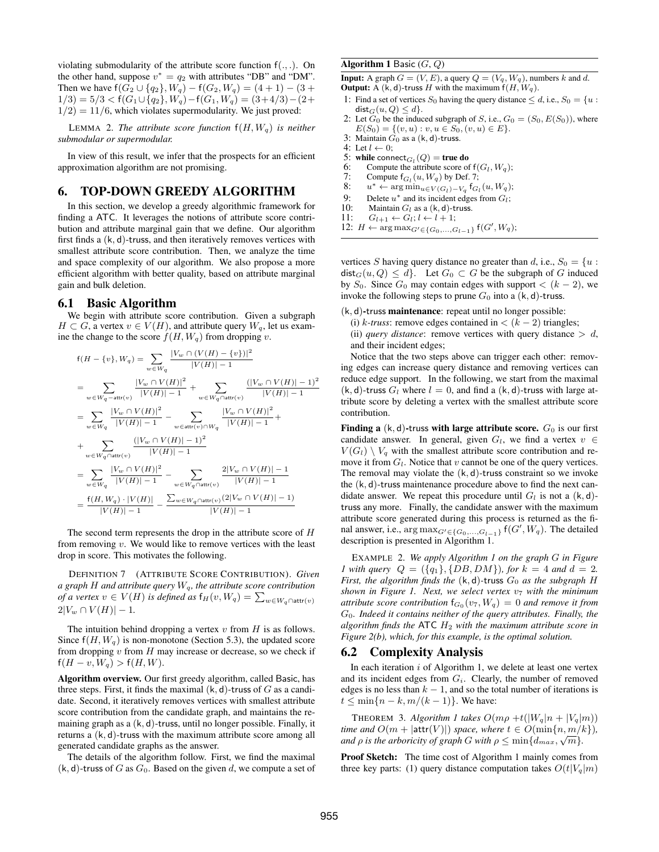violating submodularity of the attribute score function  $f(.,.)$ . On the other hand, suppose  $v^* = q_2$  with attributes "DB" and "DM". Then we have  $f(G_2 \cup \{q_2\}, W_q) - f(G_2, W_q) = (4 + 1) - (3 + 1)$  $1/3$ ) = 5/3 < f(G<sub>1</sub>∪{q<sub>2</sub>}, W<sub>q</sub>) – f(G<sub>1</sub>, W<sub>q</sub>) = (3+4/3) – (2+  $1/2$ ) = 11/6, which violates supermodularity. We just proved:

LEMMA 2. *The attribute score function*  $f(H, W_q)$  *is neither submodular or supermodular.*

In view of this result, we infer that the prospects for an efficient approximation algorithm are not promising.

## 6. TOP-DOWN GREEDY ALGORITHM

In this section, we develop a greedy algorithmic framework for finding a ATC. It leverages the notions of attribute score contribution and attribute marginal gain that we define. Our algorithm first finds a  $(k, d)$ -truss, and then iteratively removes vertices with smallest attribute score contribution. Then, we analyze the time and space complexity of our algorithm. We also propose a more efficient algorithm with better quality, based on attribute marginal gain and bulk deletion.

#### 6.1 Basic Algorithm

We begin with attribute score contribution. Given a subgraph  $H \subset G$ , a vertex  $v \in V(H)$ , and attribute query  $W_q$ , let us examine the change to the score  $f(H, W_q)$  from dropping v.

$$
f(H - \{v\}, W_q) = \sum_{w \in W_q} \frac{|V_w \cap (V(H) - \{v\})|^2}{|V(H)| - 1}
$$
  
\n
$$
= \sum_{w \in W_q - \text{attr}(v)} \frac{|V_w \cap V(H)|^2}{|V(H)| - 1} + \sum_{w \in W_q \cap \text{attr}(v)} \frac{(|V_w \cap V(H)| - 1)^2}{|V(H)| - 1}
$$
  
\n
$$
= \sum_{w \in W_q} \frac{|V_w \cap V(H)|^2}{|V(H)| - 1} - \sum_{w \in \text{attr}(v) \cap W_q} \frac{|V_w \cap V(H)|^2}{|V(H)| - 1} +
$$
  
\n
$$
+ \sum_{w \in W_q \cap \text{attr}(v)} \frac{(|V_w \cap V(H)| - 1)^2}{|V(H)| - 1}
$$
  
\n
$$
= \sum_{w \in W_q} \frac{|V_w \cap V(H)|^2}{|V(H)| - 1} - \sum_{w \in W_q \cap \text{attr}(v)} \frac{2|V_w \cap V(H)| - 1}{|V(H)| - 1}
$$
  
\n
$$
= \frac{f(H, W_q) \cdot |V(H)|}{|V(H)| - 1} - \frac{\sum_{w \in W_q \cap \text{attr}(v)} (2|V_w \cap V(H)| - 1)}{|V(H)| - 1}
$$

The second term represents the drop in the attribute score of  $H$ from removing  $v$ . We would like to remove vertices with the least drop in score. This motivates the following.

DEFINITION 7 (ATTRIBUTE SCORE CONTRIBUTION). *Given a graph* H *and attribute query* Wq*, the attribute score contribution of a vertex*  $v \in V(H)$  *is defined as*  $f_H(v, W_q) = \sum_{w \in W_q \cap \text{attr}(v)}$  $2|V_w \cap V(H)| - 1.$ 

The intuition behind dropping a vertex  $v$  from  $H$  is as follows. Since  $f(H, W_a)$  is non-monotone (Section 5.3), the updated score from dropping  $v$  from  $H$  may increase or decrease, so we check if  $f(H - v, W_q) > f(H, W).$ 

Algorithm overview. Our first greedy algorithm, called Basic, has three steps. First, it finds the maximal  $(k, d)$ -truss of G as a candidate. Second, it iteratively removes vertices with smallest attribute score contribution from the candidate graph, and maintains the remaining graph as a (k, d)-truss, until no longer possible. Finally, it returns a (k, d)-truss with the maximum attribute score among all generated candidate graphs as the answer.

The details of the algorithm follow. First, we find the maximal  $(k, d)$ -truss of G as  $G_0$ . Based on the given d, we compute a set of

#### Algorithm 1 Basic  $(G, Q)$

**Input:** A graph  $G = (V, E)$ , a query  $Q = (V_q, W_q)$ , numbers k and d. **Output:** A  $(k, d)$ -truss H with the maximum  $f(H, W_q)$ .

- 1: Find a set of vertices  $S_0$  having the query distance  $\leq d$ , i.e.,  $S_0 = \{u :$  $dist_G(u, Q) \leq d$ .
- 2: Let  $G_0$  be the induced subgraph of S, i.e.,  $G_0 = (S_0, E(S_0))$ , where  $E(S_0) = \{(v, u) : v, u \in S_0, (v, u) \in E\}.$
- 3: Maintain  $G_0$  as a  $(k, d)$ -truss.
- 4: Let  $l \leftarrow 0$ ;
- 5: while connect<sub> $G_l$ </sub> $(Q)$  = true do
- 6: Compute the attribute score of  $f(G_l, W_q)$ ;
- 7: Compute  $f_{G_l}(u, W_q)$  by Def. 7;  $8:$
- $*$  ←  $\arg \min_{u \in V(G_l) V_q} f_{G_l}(u, W_q);$
- 9: Delete  $u^*$  and its incident edges from  $G_l$ ;
- 10: Maintain  $G_l$  as a  $(k, d)$ -truss.<br>11:  $G_{l+1} \leftarrow G_l: l \leftarrow l+1$ :
- 11:  $G_{l+1} \leftarrow G_l; l \leftarrow l+1;$
- 12:  $H \leftarrow \arg \max_{G' \in \{G_0, ..., G_{l-1}\}} f(G', W_q);$

vertices S having query distance no greater than d, i.e.,  $S_0 = \{u :$  $dist_G(u, Q) \leq d$ . Let  $G_0 \subset G$  be the subgraph of G induced by  $S_0$ . Since  $G_0$  may contain edges with support  $\lt (k-2)$ , we invoke the following steps to prune  $G_0$  into a  $(k, d)$ -truss.

#### (k, d)-truss maintenance: repeat until no longer possible:

(i) k-truss: remove edges contained in  $\lt$  ( $k-2$ ) triangles; (ii) *query distance*: remove vertices with query distance  $> d$ , and their incident edges;

Notice that the two steps above can trigger each other: removing edges can increase query distance and removing vertices can reduce edge support. In the following, we start from the maximal  $(k, d)$ -truss  $G_l$  where  $l = 0$ , and find a  $(k, d)$ -truss with large attribute score by deleting a vertex with the smallest attribute score contribution.

**Finding a**  $(k, d)$ -truss with large attribute score.  $G_0$  is our first candidate answer. In general, given  $G_l$ , we find a vertex  $v \in$  $V(G_l) \setminus V_q$  with the smallest attribute score contribution and remove it from  $G_l$ . Notice that v cannot be one of the query vertices. The removal may violate the  $(k, d)$ -truss constraint so we invoke the (k, d)-truss maintenance procedure above to find the next candidate answer. We repeat this procedure until  $G_l$  is not a  $(k, d)$ truss any more. Finally, the candidate answer with the maximum attribute score generated during this process is returned as the final answer, i.e.,  $\arg \max_{G' \in \{G_0, ..., G_{l-1}\}} f(G', W_q)$ . The detailed description is presented in Algorithm 1.

EXAMPLE 2. *We apply Algorithm 1 on the graph* G *in Figure 1* with query  $Q = (\{q_1\}, \{DB, DM\})$ , for  $k = 4$  and  $d = 2$ . *First, the algorithm finds the*  $(k, d)$ -truss  $G_0$  *as the subgraph*  $H$ *shown in Figure 1. Next, we select vertex*  $v_7$  *with the minimum attribute score contribution*  $f_{G_0}(v_7, W_q) = 0$  *and remove it from* G0*. Indeed it contains neither of the query attributes. Finally, the algorithm finds the* ATC H<sup>2</sup> *with the maximum attribute score in Figure 2(b), which, for this example, is the optimal solution.*

#### 6.2 Complexity Analysis

In each iteration  $i$  of Algorithm 1, we delete at least one vertex and its incident edges from  $G_i$ . Clearly, the number of removed edges is no less than  $k - 1$ , and so the total number of iterations is  $t \leq \min\{n-k, m/(k-1)\}\.$  We have:

THEOREM 3. Algorithm 1 takes  $O(m\rho + t(|W_q|n + |V_q|m))$ *time and*  $O(m + |\text{attr}(V)|)$  *space, where*  $t \in O(\min\{n, m/k\})$ *, and*  $\rho$  *is the arboricity of graph G with*  $\rho \le \min\{d_{max}, \sqrt{m}\}.$ 

Proof Sketch: The time cost of Algorithm 1 mainly comes from three key parts: (1) query distance computation takes  $O(t|V_q|m)$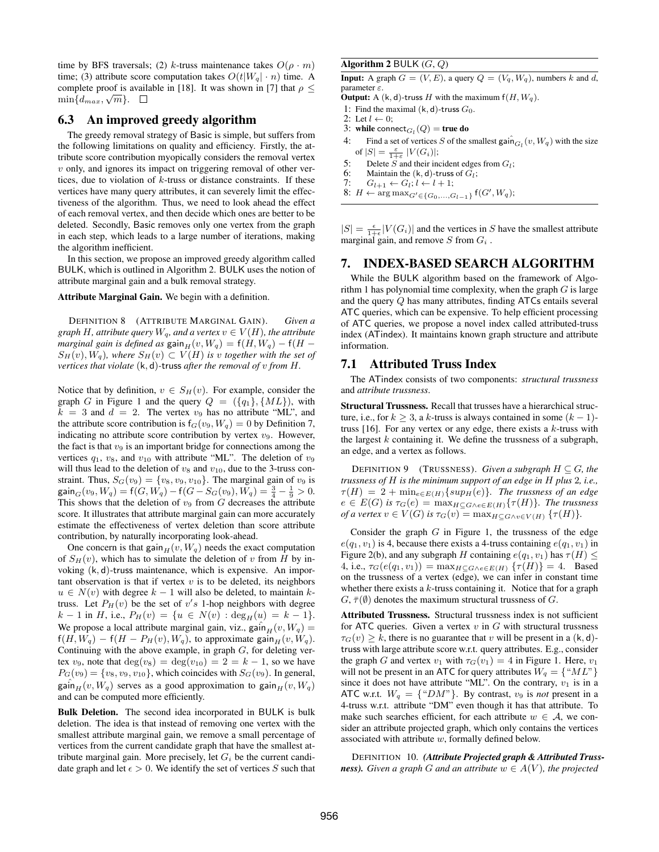time by BFS traversals; (2) k-truss maintenance takes  $O(\rho \cdot m)$ time; (3) attribute score computation takes  $O(t|W_a| \cdot n)$  time. A complete proof is available in [18]. It was shown in [7] that  $\rho \leq$  $\min\{d_{max},\sqrt{m}\}.$ 

## 6.3 An improved greedy algorithm

The greedy removal strategy of Basic is simple, but suffers from the following limitations on quality and efficiency. Firstly, the attribute score contribution myopically considers the removal vertex  $v$  only, and ignores its impact on triggering removal of other vertices, due to violation of  $k$ -truss or distance constraints. If these vertices have many query attributes, it can severely limit the effectiveness of the algorithm. Thus, we need to look ahead the effect of each removal vertex, and then decide which ones are better to be deleted. Secondly, Basic removes only one vertex from the graph in each step, which leads to a large number of iterations, making the algorithm inefficient.

In this section, we propose an improved greedy algorithm called BULK, which is outlined in Algorithm 2. BULK uses the notion of attribute marginal gain and a bulk removal strategy.

Attribute Marginal Gain. We begin with a definition.

DEFINITION 8 (ATTRIBUTE MARGINAL GAIN). *Given a graph* H, attribute query  $W_q$ , and a vertex  $v \in V(H)$ , the attribute *marginal gain is defined as* gain $_H(v, W_q) = f(H, W_q) - f(H - q)$  $S_H(v), W_q$ , where  $S_H(v) \subset V(H)$  is v together with the set of *vertices that violate* (k, d)*-*truss *after the removal of* v *from* H*.*

Notice that by definition,  $v \in S_H(v)$ . For example, consider the graph G in Figure 1 and the query  $Q = (\{q_1\}, \{ML\})$ , with  $k = 3$  and  $d = 2$ . The vertex  $v_9$  has no attribute "ML", and the attribute score contribution is  $f_G(v_9, W_q) = 0$  by Definition 7, indicating no attribute score contribution by vertex  $v_9$ . However, the fact is that  $v_9$  is an important bridge for connections among the vertices  $q_1$ ,  $v_8$ , and  $v_{10}$  with attribute "ML". The deletion of  $v_9$ will thus lead to the deletion of  $v_8$  and  $v_{10}$ , due to the 3-truss constraint. Thus,  $S_G(v_9) = \{v_8, v_9, v_{10}\}\.$  The marginal gain of  $v_9$  is gain $_G(v_9, W_q) = f(G, W_q) - f(G - S_G(v_9), W_q) = \frac{3}{4} - \frac{1}{9} > 0.$ This shows that the deletion of  $v_9$  from  $G$  decreases the attribute score. It illustrates that attribute marginal gain can more accurately estimate the effectiveness of vertex deletion than score attribute contribution, by naturally incorporating look-ahead.

One concern is that gain $_H(v, W_q)$  needs the exact computation of  $S_H(v)$ , which has to simulate the deletion of v from H by invoking (k, d)-truss maintenance, which is expensive. An important observation is that if vertex  $v$  is to be deleted, its neighbors  $u \in N(v)$  with degree  $k-1$  will also be deleted, to maintain ktruss. Let  $P_H(v)$  be the set of  $v's$  1-hop neighbors with degree  $k-1$  in H, i.e.,  $P_H(v) = \{u \in N(v) : \deg_H(u) = k-1\}.$ We propose a local attribute marginal gain, viz.,  $\sin^2 H(v, W_q) =$  $f(H, W_q) - f(H - P_H(v), W_q)$ , to approximate gain $_H(v, W_q)$ . Continuing with the above example, in graph  $G$ , for deleting vertex  $v_9$ , note that  $deg(v_8) = deg(v_{10}) = 2 = k - 1$ , so we have  $P_G(v_9) = \{v_8, v_9, v_{10}\}\$ , which coincides with  $S_G(v_9)$ . In general,  $\hat{\textsf{gain}}_H(v, W_q)$  serves as a good approximation to  $\textsf{gain}_H(v, W_q)$ and can be computed more efficiently.

Bulk Deletion. The second idea incorporated in BULK is bulk deletion. The idea is that instead of removing one vertex with the smallest attribute marginal gain, we remove a small percentage of vertices from the current candidate graph that have the smallest attribute marginal gain. More precisely, let  $G_i$  be the current candidate graph and let  $\epsilon > 0$ . We identify the set of vertices S such that

#### Algorithm 2 BULK  $(G, Q)$

**Input:** A graph  $G = (V, E)$ , a query  $Q = (V_q, W_q)$ , numbers k and d, parameter  $\varepsilon$ .

**Output:** A  $(k, d)$ -truss H with the maximum  $f(H, W_q)$ .

- 1: Find the maximal  $(k, d)$ -truss  $G_0$ .
- 2: Let  $l \leftarrow 0$ ;
- 3: while connect $_{G_l}(Q) =$  true do
- 4: Find a set of vertices S of the smallest gain  $G_l(v, W_q)$  with the size of  $|S| = \frac{\varepsilon}{1+\varepsilon} |V(G_i)|;$
- 5: Delete S and their incident edges from  $G_l$ ;
- 6: Maintain the  $(k, d)$ -truss of  $G_l$ ;
- 7:  $G_{l+1} \leftarrow G_l; l \leftarrow l+1;$
- 8: *H* ← arg max<sub>*G'* ∈{*G*<sub>0</sub>,...,*G*<sub>*l*-1</sub>}</sub>  $f(G', W_q)$ ;

 $|S| = \frac{\epsilon}{1+\epsilon} |V(G_i)|$  and the vertices in S have the smallest attribute marginal gain, and remove  $S$  from  $G_i$ .

## 7. INDEX-BASED SEARCH ALGORITHM

While the BULK algorithm based on the framework of Algorithm 1 has polynomial time complexity, when the graph  $G$  is large and the query Q has many attributes, finding ATCs entails several ATC queries, which can be expensive. To help efficient processing of ATC queries, we propose a novel index called attributed-truss index (ATindex). It maintains known graph structure and attribute information.

#### 7.1 Attributed Truss Index

The ATindex consists of two components: *structural trussness* and *attribute trussness*.

Structural Trussness. Recall that trusses have a hierarchical structure, i.e., for  $k > 3$ , a k-truss is always contained in some  $(k - 1)$ truss  $[16]$ . For any vertex or any edge, there exists a k-truss with the largest  $k$  containing it. We define the trussness of a subgraph, an edge, and a vertex as follows.

DEFINITION 9 (TRUSSNESS). *Given a subgraph*  $H \subseteq G$ *, the trussness of* H *is the minimum support of an edge in* H *plus* 2*, i.e.,*  $\tau(H) = 2 + \min_{e \in E(H)} \{ \sup_H(e) \}.$  The trussness of an edge  $e \in E(G)$  *is*  $\tau_G(e) = \max_{H \subset G \wedge e \in E(H)} {\{\tau(H)\}}$ *. The trussness of a vertex*  $v \in V(G)$  *is*  $\tau_G(v) = \max_{H \subset G \wedge v \in V(H)} {\tau(H)}$ .

Consider the graph  $G$  in Figure 1, the trussness of the edge  $e(q_1, v_1)$  is 4, because there exists a 4-truss containing  $e(q_1, v_1)$  in Figure 2(b), and any subgraph H containing  $e(q_1, v_1)$  has  $\tau(H) \leq$ 4, i.e.,  $\tau_G(e(q_1, v_1)) = \max_{H \subseteq G \wedge e \in E(H)} {\tau(H)} = 4$ . Based on the trussness of a vertex (edge), we can infer in constant time whether there exists a  $k$ -truss containing it. Notice that for a graph  $G, \overline{\tau}(\emptyset)$  denotes the maximum structural trussness of G.

Attributed Trussness. Structural trussness index is not sufficient for ATC queries. Given a vertex  $v$  in  $G$  with structural trussness  $\tau_G(v) \geq k$ , there is no guarantee that v will be present in a  $(k, d)$ truss with large attribute score w.r.t. query attributes. E.g., consider the graph G and vertex  $v_1$  with  $\tau_G(v_1) = 4$  in Figure 1. Here,  $v_1$ will not be present in an ATC for query attributes  $W_q = \{``ML"\}$ since it does not have attribute "ML". On the contrary,  $v_1$  is in a ATC w.r.t.  $W_q = \{^{\omega}DM^{\gamma}\}\$ . By contrast,  $v_9$  is *not* present in a 4-truss w.r.t. attribute "DM" even though it has that attribute. To make such searches efficient, for each attribute  $w \in A$ , we consider an attribute projected graph, which only contains the vertices associated with attribute w, formally defined below.

DEFINITION 10. *(Attribute Projected graph & Attributed Trussness*). Given a graph G and an attribute  $w \in A(V)$ , the projected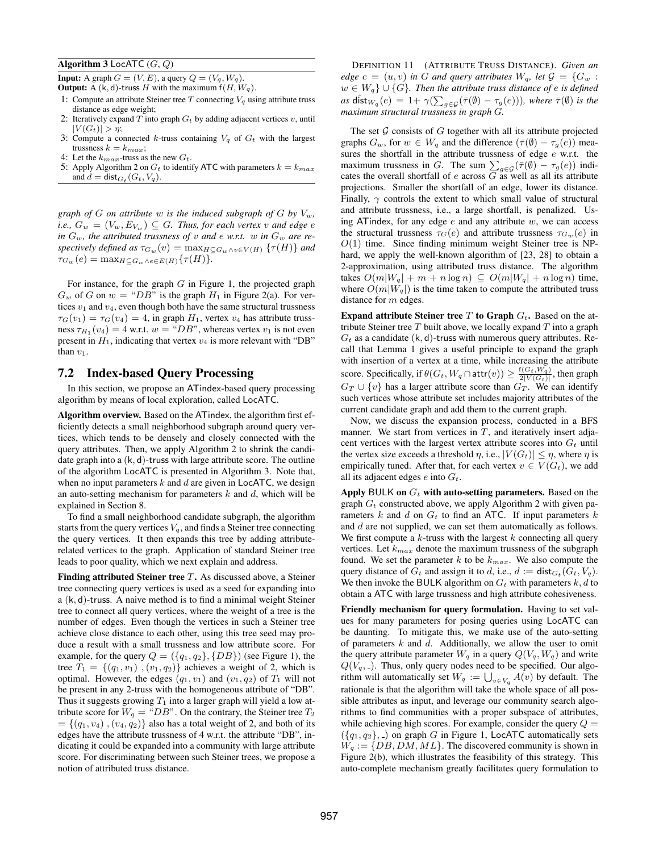#### Algorithm  $3$  LocATC  $(G, Q)$

**Input:** A graph  $G = (V, E)$ , a query  $Q = (V_q, W_q)$ . **Output:** A  $(k, d)$ -truss H with the maximum  $f(H, W_q)$ .

- 1: Compute an attribute Steiner tree  $T$  connecting  $V_q$  using attribute truss distance as edge weight;
- 2: Iteratively expand  $T$  into graph  $G_t$  by adding adjacent vertices  $v$ , until  $|V(G_t)| > \eta;$
- 3: Compute a connected k-truss containing  $V_q$  of  $G_t$  with the largest trussness  $k = k_{max}$ ;
- 4: Let the  $k_{max}$ -truss as the new  $G_t$ .
- 5: Apply Algorithm 2 on  $G_t$  to identify ATC with parameters  $k = k_{max}$ and  $d = \textsf{dist}_{G_t}(G_t, V_q)$ .

*graph of* G *on attribute* w *is the induced subgraph of* G *by* Vw*, i.e.,*  $G_w = (V_w, E_{V_w}) \subseteq G$ *. Thus, for each vertex v and edge e in*  $G_w$ , the attributed trussness of v and e w.r.t. w in  $G_w$  are re*spectively defined as*  $\tau_{G_w}(v) = \max_{H \subseteq G_w \land v \in V(H)} \{\tau(H)\}\$ and  $\tau_{G_w}(e) = \max_{H \subseteq G_w \land e \in E(H)} \{\tau(H)\}.$ 

For instance, for the graph  $G$  in Figure 1, the projected graph  $G_w$  of G on  $w = "DB"$  is the graph  $H_1$  in Figure 2(a). For vertices  $v_1$  and  $v_4$ , even though both have the same structural trussness  $\tau_G(v_1) = \tau_G(v_4) = 4$ , in graph  $H_1$ , vertex  $v_4$  has attribute trussness  $\tau_{H_1}(v_4) = 4$  w.r.t.  $w = "DB"$ , whereas vertex  $v_1$  is not even present in  $H_1$ , indicating that vertex  $v_4$  is more relevant with "DB" than  $v_1$ .

## 7.2 Index-based Query Processing

In this section, we propose an ATindex-based query processing algorithm by means of local exploration, called LocATC.

Algorithm overview. Based on the ATindex, the algorithm first efficiently detects a small neighborhood subgraph around query vertices, which tends to be densely and closely connected with the query attributes. Then, we apply Algorithm 2 to shrink the candidate graph into a  $(k, d)$ -truss with large attribute score. The outline of the algorithm LocATC is presented in Algorithm 3. Note that, when no input parameters  $k$  and  $d$  are given in LocATC, we design an auto-setting mechanism for parameters  $k$  and  $d$ , which will be explained in Section 8.

To find a small neighborhood candidate subgraph, the algorithm starts from the query vertices  $V_q$ , and finds a Steiner tree connecting the query vertices. It then expands this tree by adding attributerelated vertices to the graph. Application of standard Steiner tree leads to poor quality, which we next explain and address.

**Finding attributed Steiner tree T.** As discussed above, a Steiner tree connecting query vertices is used as a seed for expanding into a (k, d)-truss. A naive method is to find a minimal weight Steiner tree to connect all query vertices, where the weight of a tree is the number of edges. Even though the vertices in such a Steiner tree achieve close distance to each other, using this tree seed may produce a result with a small trussness and low attribute score. For example, for the query  $Q = (\{q_1, q_2\}, \{DB\})$  (see Figure 1), the tree  $T_1 = \{(q_1, v_1), (v_1, q_2)\}\$  achieves a weight of 2, which is optimal. However, the edges  $(q_1, v_1)$  and  $(v_1, q_2)$  of  $T_1$  will not be present in any 2-truss with the homogeneous attribute of "DB". Thus it suggests growing  $T_1$  into a larger graph will yield a low attribute score for  $W_q = "DB"$ . On the contrary, the Steiner tree  $T_2$  $=\{(q_1, v_4), (v_4, q_2)\}\$ also has a total weight of 2, and both of its edges have the attribute trussness of 4 w.r.t. the attribute "DB", indicating it could be expanded into a community with large attribute score. For discriminating between such Steiner trees, we propose a notion of attributed truss distance.

DEFINITION 11 (ATTRIBUTE TRUSS DISTANCE). *Given an edge*  $e = (u, v)$  *in G and query attributes*  $W_q$ *, let*  $\mathcal{G} = \{G_w : G_w\}$ w ∈ Wq} ∪ {G}*. Then the attribute truss distance of* e *is defined as* dist $w_q(e) = 1 + \gamma \left( \sum_{g \in \mathcal{G}} (\bar{\tau}(\emptyset) - \tau_g(e)) \right)$ , where  $\bar{\tau}(\emptyset)$  is the *maximum structural trussness in graph* G*.*

The set  $G$  consists of  $G$  together with all its attribute projected graphs  $G_w$ , for  $w \in W_q$  and the difference  $(\bar{\tau}(\emptyset) - \tau_g(e))$  measures the shortfall in the attribute trussness of edge e w.r.t. the maximum trussness in G. The sum  $\sum_{g \in \mathcal{G}} (\bar{\tau}(\emptyset) - \tau_g(e))$  indicates the overall shortfall of  $e$  across  $G$  as well as all its attribute projections. Smaller the shortfall of an edge, lower its distance. Finally,  $\gamma$  controls the extent to which small value of structural and attribute trussness, i.e., a large shortfall, is penalized. Using ATindex, for any edge  $e$  and any attribute  $w$ , we can access the structural trussness  $\tau_G(e)$  and attribute trussness  $\tau_{G_w}(e)$  in  $O(1)$  time. Since finding minimum weight Steiner tree is NPhard, we apply the well-known algorithm of [23, 28] to obtain a 2-approximation, using attributed truss distance. The algorithm takes  $O(m|W_q| + m + n \log n) \subseteq O(m|W_q| + n \log n)$  time, where  $O(m|W_q|)$  is the time taken to compute the attributed truss distance for  $m$  edges.

**Expand attribute Steiner tree T to Graph**  $G_t$ **.** Based on the attribute Steiner tree  $T$  built above, we locally expand  $T$  into a graph  $G_t$  as a candidate (k, d)-truss with numerous query attributes. Recall that Lemma 1 gives a useful principle to expand the graph with insertion of a vertex at a time, while increasing the attribute score. Specifically, if  $\theta(G_t, W_q \cap \text{attr}(v)) \ge \frac{f(G_t, W_q)}{2|V(G_t)|}$ , then graph  $G_T \cup \{v\}$  has a larger attribute score than  $G_T$ . We can identify such vertices whose attribute set includes majority attributes of the current candidate graph and add them to the current graph.

Now, we discuss the expansion process, conducted in a BFS manner. We start from vertices in  $T$ , and iteratively insert adjacent vertices with the largest vertex attribute scores into  $G_t$  until the vertex size exceeds a threshold  $\eta$ , i.e.,  $|V(G_t)| \leq \eta$ , where  $\eta$  is empirically tuned. After that, for each vertex  $v \in V(G_t)$ , we add all its adjacent edges  $e$  into  $G_t$ .

Apply BULK on  $G_t$  with auto-setting parameters. Based on the graph  $G_t$  constructed above, we apply Algorithm 2 with given parameters  $k$  and  $d$  on  $G_t$  to find an ATC. If input parameters  $k$ and  $d$  are not supplied, we can set them automatically as follows. We first compute a  $k$ -truss with the largest  $k$  connecting all query vertices. Let  $k_{max}$  denote the maximum trussness of the subgraph found. We set the parameter  $k$  to be  $k_{max}$ . We also compute the query distance of  $G_t$  and assign it to d, i.e.,  $d := \text{dist}_{G_t}(G_t, V_q)$ . We then invoke the BULK algorithm on  $G_t$  with parameters k, d to obtain a ATC with large trussness and high attribute cohesiveness.

Friendly mechanism for query formulation. Having to set values for many parameters for posing queries using LocATC can be daunting. To mitigate this, we make use of the auto-setting of parameters  $k$  and  $d$ . Additionally, we allow the user to omit the query attribute parameter  $W_q$  in a query  $Q(V_q, W_q)$  and write  $Q(V_q, \, \_)$ . Thus, only query nodes need to be specified. Our algorithm will automatically set  $W_q := \bigcup_{v \in V_q} A(v)$  by default. The rationale is that the algorithm will take the whole space of all possible attributes as input, and leverage our community search algorithms to find communities with a proper subspace of attributes, while achieving high scores. For example, consider the query  $Q =$  $({q_1, q_2}, ...)$  on graph G in Figure 1, LocATC automatically sets  $W_q := \{DB, DM, ML\}$ . The discovered community is shown in Figure 2(b), which illustrates the feasibility of this strategy. This auto-complete mechanism greatly facilitates query formulation to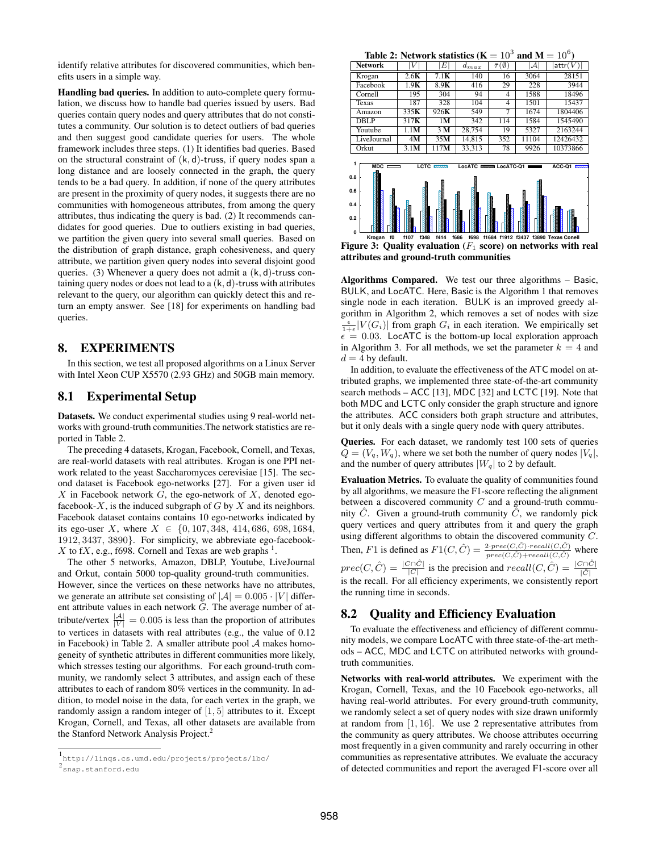identify relative attributes for discovered communities, which benefits users in a simple way.

Handling bad queries. In addition to auto-complete query formulation, we discuss how to handle bad queries issued by users. Bad queries contain query nodes and query attributes that do not constitutes a community. Our solution is to detect outliers of bad queries and then suggest good candidate queries for users. The whole framework includes three steps. (1) It identifies bad queries. Based on the structural constraint of  $(k, d)$ -truss, if query nodes span a long distance and are loosely connected in the graph, the query tends to be a bad query. In addition, if none of the query attributes are present in the proximity of query nodes, it suggests there are no communities with homogeneous attributes, from among the query attributes, thus indicating the query is bad. (2) It recommends candidates for good queries. Due to outliers existing in bad queries, we partition the given query into several small queries. Based on the distribution of graph distance, graph cohesiveness, and query attribute, we partition given query nodes into several disjoint good queries. (3) Whenever a query does not admit a (k, d)-truss containing query nodes or does not lead to a  $(k, d)$ -truss with attributes relevant to the query, our algorithm can quickly detect this and return an empty answer. See [18] for experiments on handling bad queries.

## 8. EXPERIMENTS

In this section, we test all proposed algorithms on a Linux Server with Intel Xeon CUP X5570 (2.93 GHz) and 50GB main memory.

# 8.1 Experimental Setup

Datasets. We conduct experimental studies using 9 real-world networks with ground-truth communities.The network statistics are reported in Table 2.

The preceding 4 datasets, Krogan, Facebook, Cornell, and Texas, are real-world datasets with real attributes. Krogan is one PPI network related to the yeast Saccharomyces cerevisiae [15]. The second dataset is Facebook ego-networks [27]. For a given user id  $X$  in Facebook network  $G$ , the ego-network of  $X$ , denoted egofacebook- $X$ , is the induced subgraph of  $G$  by  $X$  and its neighbors. Facebook dataset contains contains 10 ego-networks indicated by its ego-user X, where  $X \in \{0, 107, 348, 414, 686, 698, 1684,$ 1912, 3437, 3890}. For simplicity, we abbreviate ego-facebook-X to fX, e.g., f698. Cornell and Texas are web graphs<sup>1</sup>.

The other 5 networks, Amazon, DBLP, Youtube, LiveJournal and Orkut, contain 5000 top-quality ground-truth communities. However, since the vertices on these networks have no attributes, we generate an attribute set consisting of  $|A| = 0.005 \cdot |V|$  different attribute values in each network  $G$ . The average number of attribute/vertex  $\frac{|A|}{|V|} = 0.005$  is less than the proportion of attributes to vertices in datasets with real attributes (e.g., the value of 0.12 in Facebook) in Table 2. A smaller attribute pool  $A$  makes homogeneity of synthetic attributes in different communities more likely, which stresses testing our algorithms. For each ground-truth community, we randomly select 3 attributes, and assign each of these attributes to each of random 80% vertices in the community. In addition, to model noise in the data, for each vertex in the graph, we randomly assign a random integer of [1, 5] attributes to it. Except Krogan, Cornell, and Texas, all other datasets are available from the Stanford Network Analysis Project.<sup>2</sup>

Table  $2 \cdot$  Network statistics (K)  $10^3$  and M  $100$ 

| Table 2: Network statistics ( $\mathbf{N} = 10^\circ$ and $\mathbf{M} = 10^\circ$ )                 |                          |                          |                            |                         |       |                                      |  |  |  |  |
|-----------------------------------------------------------------------------------------------------|--------------------------|--------------------------|----------------------------|-------------------------|-------|--------------------------------------|--|--|--|--|
| <b>Network</b>                                                                                      | V                        | Е                        | $d_{max}$                  | $\bar{\tau}(\emptyset)$ | А     | attr $(V)$                           |  |  |  |  |
| Krogan                                                                                              | 2.6 <sub>K</sub>         | 7.1K                     | 140                        | 16                      | 3064  | 28151                                |  |  |  |  |
| Facebook                                                                                            | 1.9K                     | 8.9K                     | 416                        | 29                      | 228   | 3944                                 |  |  |  |  |
| Cornell                                                                                             | 195                      | 304                      | 94                         | 4                       | 1588  | 18496                                |  |  |  |  |
| Texas                                                                                               | 187                      | 328                      | 104                        | 4                       | 1501  | 15437                                |  |  |  |  |
| Amazon                                                                                              | 335K                     | 926K                     | 549                        | 7                       | 1674  | 1804406                              |  |  |  |  |
| DBLP                                                                                                | 317K                     | 1 <sub>M</sub>           | 342                        | 114                     | 1584  | 1545490                              |  |  |  |  |
| Youtube                                                                                             | 1.1M                     | 3 <sub>M</sub>           | 28,754                     | 19                      | 5327  | 2163244                              |  |  |  |  |
| LiveJournal                                                                                         | 4M                       | 35M                      | 14.815                     | 352                     | 11104 | 12426432                             |  |  |  |  |
| Orkut                                                                                               | 3.1M                     | 117M                     | 33,313                     | 78                      | 9926  | 10373866                             |  |  |  |  |
|                                                                                                     |                          |                          |                            |                         |       |                                      |  |  |  |  |
| 1<br>$MDC \equiv$<br><b>LCTC EXECUTE</b><br>LocATC <b>EXECUTE: LOCATC-Q1</b><br>ACC-Q1 <b>EXXXX</b> |                          |                          |                            |                         |       |                                      |  |  |  |  |
| 0.8                                                                                                 |                          |                          |                            |                         |       |                                      |  |  |  |  |
| 0.6                                                                                                 |                          |                          |                            |                         |       |                                      |  |  |  |  |
|                                                                                                     |                          |                          |                            |                         |       |                                      |  |  |  |  |
| 0.4                                                                                                 |                          |                          |                            |                         |       |                                      |  |  |  |  |
|                                                                                                     |                          |                          |                            |                         |       |                                      |  |  |  |  |
| 0.2                                                                                                 |                          |                          |                            |                         |       |                                      |  |  |  |  |
| $\mathbf{0}$                                                                                        |                          |                          |                            |                         |       |                                      |  |  |  |  |
| Krogan<br>f0                                                                                        | f107<br>f348<br>$\cdots$ | f414<br>$\sim$ $\bullet$ | f686<br>f698<br>$\sim$ $-$ |                         |       | f1684 f1912 f3437 f3890 Texas Conell |  |  |  |  |

Figure 3: Quality evaluation  $(F_1 \text{ score})$  on networks with real attributes and ground-truth communities

Algorithms Compared. We test our three algorithms – Basic, BULK, and LocATC. Here, Basic is the Algorithm 1 that removes single node in each iteration. BULK is an improved greedy algorithm in Algorithm 2, which removes a set of nodes with size  $\frac{\epsilon}{1+\epsilon}|V(G_i)|$  from graph  $G_i$  in each iteration. We empirically set  $\epsilon = 0.03$ . LocATC is the bottom-up local exploration approach in Algorithm 3. For all methods, we set the parameter  $k = 4$  and  $d = 4$  by default.

In addition, to evaluate the effectiveness of the ATC model on attributed graphs, we implemented three state-of-the-art community search methods – ACC [13], MDC [32] and LCTC [19]. Note that both MDC and LCTC only consider the graph structure and ignore the attributes. ACC considers both graph structure and attributes, but it only deals with a single query node with query attributes.

Queries. For each dataset, we randomly test 100 sets of queries  $Q = (V_q, W_q)$ , where we set both the number of query nodes  $|V_q|$ , and the number of query attributes  $|W_q|$  to 2 by default.

Evaluation Metrics. To evaluate the quality of communities found by all algorithms, we measure the F1-score reflecting the alignment between a discovered community  $C$  and a ground-truth community  $\hat{C}$ . Given a ground-truth community  $\hat{C}$ , we randomly pick query vertices and query attributes from it and query the graph using different algorithms to obtain the discovered community C. Then, F1 is defined as  $F1(C, \hat{C}) = \frac{2 \cdot prec(C, \hat{C}) \cdot recall(C, \hat{C})}{prec(C, \hat{C}) + recall(C, \hat{C})}$  where  $prec(C, \hat{C}) = \frac{|C \cap \hat{C}|}{|C|}$  is the precision and  $recall(C, \hat{C}) = \frac{|C \cap \hat{C}|}{|\hat{C}|}$  is the recall. For all efficiency experiments, we consistently report the running time in seconds.

# 8.2 Quality and Efficiency Evaluation

To evaluate the effectiveness and efficiency of different community models, we compare LocATC with three state-of-the-art methods – ACC, MDC and LCTC on attributed networks with groundtruth communities.

Networks with real-world attributes. We experiment with the Krogan, Cornell, Texas, and the 10 Facebook ego-networks, all having real-world attributes. For every ground-truth community, we randomly select a set of query nodes with size drawn uniformly at random from [1, 16]. We use 2 representative attributes from the community as query attributes. We choose attributes occurring most frequently in a given community and rarely occurring in other communities as representative attributes. We evaluate the accuracy of detected communities and report the averaged F1-score over all

<sup>1</sup> http://linqs.cs.umd.edu/projects/projects/lbc/

<sup>2&</sup>lt;br>snap.stanford.edu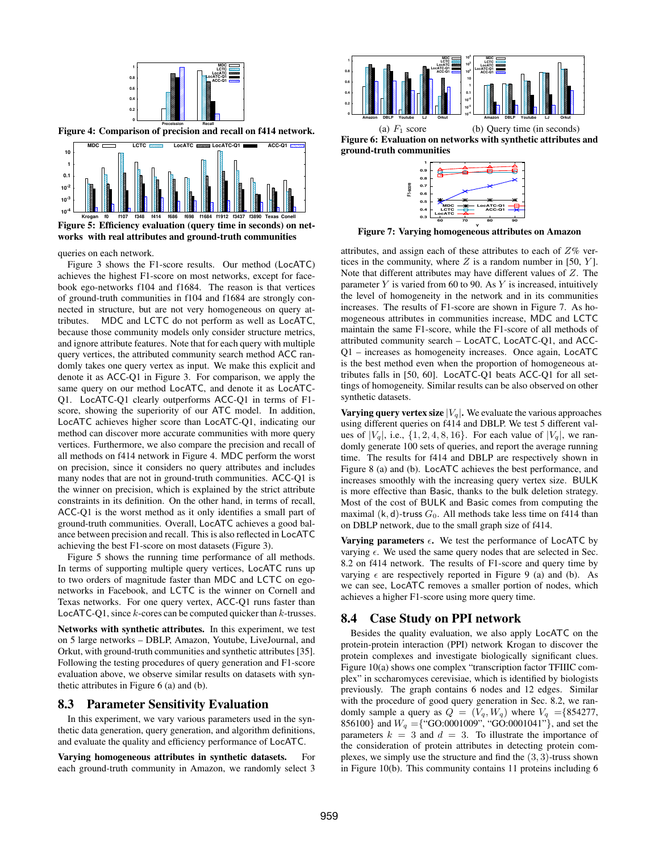

Figure 4: Comparison of precision and recall on f414 network.



Figure 5: Efficiency evaluation (query time in seconds) on networks with real attributes and ground-truth communities

queries on each network.

Figure 3 shows the F1-score results. Our method (LocATC) achieves the highest F1-score on most networks, except for facebook ego-networks f104 and f1684. The reason is that vertices of ground-truth communities in f104 and f1684 are strongly connected in structure, but are not very homogeneous on query attributes. MDC and LCTC do not perform as well as LocATC, because those community models only consider structure metrics, and ignore attribute features. Note that for each query with multiple query vertices, the attributed community search method ACC randomly takes one query vertex as input. We make this explicit and denote it as ACC-Q1 in Figure 3. For comparison, we apply the same query on our method LocATC, and denote it as LocATC-Q1. LocATC-Q1 clearly outperforms ACC-Q1 in terms of F1 score, showing the superiority of our ATC model. In addition, LocATC achieves higher score than LocATC-Q1, indicating our method can discover more accurate communities with more query vertices. Furthermore, we also compare the precision and recall of all methods on f414 network in Figure 4. MDC perform the worst on precision, since it considers no query attributes and includes many nodes that are not in ground-truth communities. ACC-Q1 is the winner on precision, which is explained by the strict attribute constraints in its definition. On the other hand, in terms of recall, ACC-Q1 is the worst method as it only identifies a small part of ground-truth communities. Overall, LocATC achieves a good balance between precision and recall. This is also reflected in LocATC achieving the best F1-score on most datasets (Figure 3).

Figure 5 shows the running time performance of all methods. In terms of supporting multiple query vertices, LocATC runs up to two orders of magnitude faster than MDC and LCTC on egonetworks in Facebook, and LCTC is the winner on Cornell and Texas networks. For one query vertex, ACC-Q1 runs faster than LocATC-Q1, since  $k$ -cores can be computed quicker than  $k$ -trusses.

Networks with synthetic attributes. In this experiment, we test on 5 large networks – DBLP, Amazon, Youtube, LiveJournal, and Orkut, with ground-truth communities and synthetic attributes [35]. Following the testing procedures of query generation and F1-score evaluation above, we observe similar results on datasets with synthetic attributes in Figure 6 (a) and (b).

## 8.3 Parameter Sensitivity Evaluation

In this experiment, we vary various parameters used in the synthetic data generation, query generation, and algorithm definitions, and evaluate the quality and efficiency performance of LocATC.

Varying homogeneous attributes in synthetic datasets. For each ground-truth community in Amazon, we randomly select 3



(a)  $F_1$  score (b) Query time (in seconds) Figure 6: Evaluation on networks with synthetic attributes and ground-truth communities



Figure 7: Varying homogeneous attributes on Amazon

attributes, and assign each of these attributes to each of  $Z\%$  vertices in the community, where  $Z$  is a random number in [50, Y]. Note that different attributes may have different values of Z. The parameter  $Y$  is varied from 60 to 90. As  $Y$  is increased, intuitively the level of homogeneity in the network and in its communities increases. The results of F1-score are shown in Figure 7. As homogeneous attributes in communities increase, MDC and LCTC maintain the same F1-score, while the F1-score of all methods of attributed community search – LocATC, LocATC-Q1, and ACC-Q1 – increases as homogeneity increases. Once again, LocATC is the best method even when the proportion of homogeneous attributes falls in [50, 60]. LocATC-Q1 beats ACC-Q1 for all settings of homogeneity. Similar results can be also observed on other synthetic datasets.

Varying query vertex size  $|V_q|$ . We evaluate the various approaches using different queries on f414 and DBLP. We test 5 different values of  $|V_q|$ , i.e.,  $\{1, 2, 4, 8, 16\}$ . For each value of  $|V_q|$ , we randomly generate 100 sets of queries, and report the average running time. The results for f414 and DBLP are respectively shown in Figure 8 (a) and (b). LocATC achieves the best performance, and increases smoothly with the increasing query vertex size. BULK is more effective than Basic, thanks to the bulk deletion strategy. Most of the cost of BULK and Basic comes from computing the maximal  $(k, d)$ -truss  $G_0$ . All methods take less time on f414 than on DBLP network, due to the small graph size of f414.

Varying parameters  $\epsilon$ . We test the performance of LocATC by varying  $\epsilon$ . We used the same query nodes that are selected in Sec. 8.2 on f414 network. The results of F1-score and query time by varying  $\epsilon$  are respectively reported in Figure 9 (a) and (b). As we can see, LocATC removes a smaller portion of nodes, which achieves a higher F1-score using more query time.

## 8.4 Case Study on PPI network

Besides the quality evaluation, we also apply LocATC on the protein-protein interaction (PPI) network Krogan to discover the protein complexes and investigate biologically significant clues. Figure 10(a) shows one complex "transcription factor TFIIIC complex" in sccharomyces cerevisiae, which is identified by biologists previously. The graph contains 6 nodes and 12 edges. Similar with the procedure of good query generation in Sec. 8.2, we randomly sample a query as  $Q = (V_q, W_q)$  where  $V_q = \{854277,$ 856100} and  $W_q =$  {"GO:0001009", "GO:0001041"}, and set the parameters  $k = 3$  and  $d = 3$ . To illustrate the importance of the consideration of protein attributes in detecting protein complexes, we simply use the structure and find the  $(3, 3)$ -truss shown in Figure 10(b). This community contains 11 proteins including 6